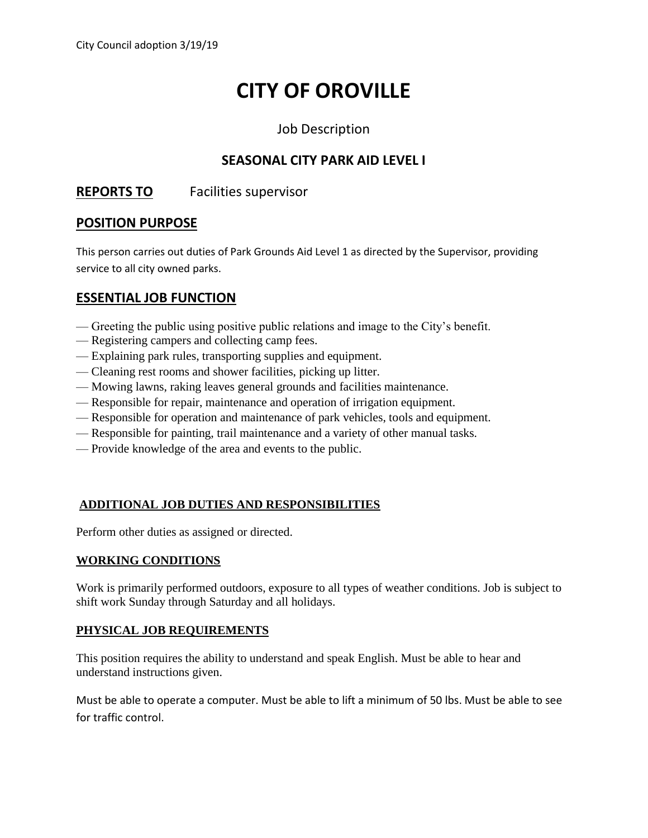# **CITY OF OROVILLE**

## Job Description

# **SEASONAL CITY PARK AID LEVEL I**

# **REPORTS TO** Facilities supervisor

## **POSITION PURPOSE**

This person carries out duties of Park Grounds Aid Level 1 as directed by the Supervisor, providing service to all city owned parks.

## **ESSENTIAL JOB FUNCTION**

- Greeting the public using positive public relations and image to the City's benefit.
- Registering campers and collecting camp fees.
- Explaining park rules, transporting supplies and equipment.
- Cleaning rest rooms and shower facilities, picking up litter.
- Mowing lawns, raking leaves general grounds and facilities maintenance.
- Responsible for repair, maintenance and operation of irrigation equipment.
- Responsible for operation and maintenance of park vehicles, tools and equipment.
- Responsible for painting, trail maintenance and a variety of other manual tasks.
- Provide knowledge of the area and events to the public.

## **ADDITIONAL JOB DUTIES AND RESPONSIBILITIES**

Perform other duties as assigned or directed.

#### **WORKING CONDITIONS**

Work is primarily performed outdoors, exposure to all types of weather conditions. Job is subject to shift work Sunday through Saturday and all holidays.

#### **PHYSICAL JOB REQUIREMENTS**

This position requires the ability to understand and speak English. Must be able to hear and understand instructions given.

Must be able to operate a computer. Must be able to lift a minimum of 50 lbs. Must be able to see for traffic control.